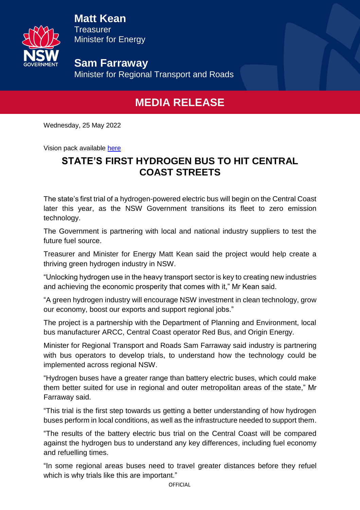

**Matt Kean Treasurer** Minister for Energy

**Sam Farraway**  Minister for Regional Transport and Roads

## **MEDIA RELEASE**

Wednesday, 25 May 2022

Vision pack available [here](https://www.dropbox.com/scl/fo/1kbd72l6wvn7h7sj6ek3e/h?dl=0&rlkey=hvpzs9fheiwlozhjje6vv6qnb)

## **STATE'S FIRST HYDROGEN BUS TO HIT CENTRAL COAST STREETS**

The state's first trial of a hydrogen-powered electric bus will begin on the Central Coast later this year, as the NSW Government transitions its fleet to zero emission technology.

The Government is partnering with local and national industry suppliers to test the future fuel source.

Treasurer and Minister for Energy Matt Kean said the project would help create a thriving green hydrogen industry in NSW.

"Unlocking hydrogen use in the heavy transport sector is key to creating new industries and achieving the economic prosperity that comes with it," Mr Kean said.

"A green hydrogen industry will encourage NSW investment in clean technology, grow our economy, boost our exports and support regional jobs."

The project is a partnership with the Department of Planning and Environment, local bus manufacturer ARCC, Central Coast operator Red Bus, and Origin Energy.

Minister for Regional Transport and Roads Sam Farraway said industry is partnering with bus operators to develop trials, to understand how the technology could be implemented across regional NSW.

"Hydrogen buses have a greater range than battery electric buses, which could make them better suited for use in regional and outer metropolitan areas of the state," Mr Farraway said.

"This trial is the first step towards us getting a better understanding of how hydrogen buses perform in local conditions, as well as the infrastructure needed to support them.

"The results of the battery electric bus trial on the Central Coast will be compared against the hydrogen bus to understand any key differences, including fuel economy and refuelling times.

"In some regional areas buses need to travel greater distances before they refuel which is why trials like this are important."